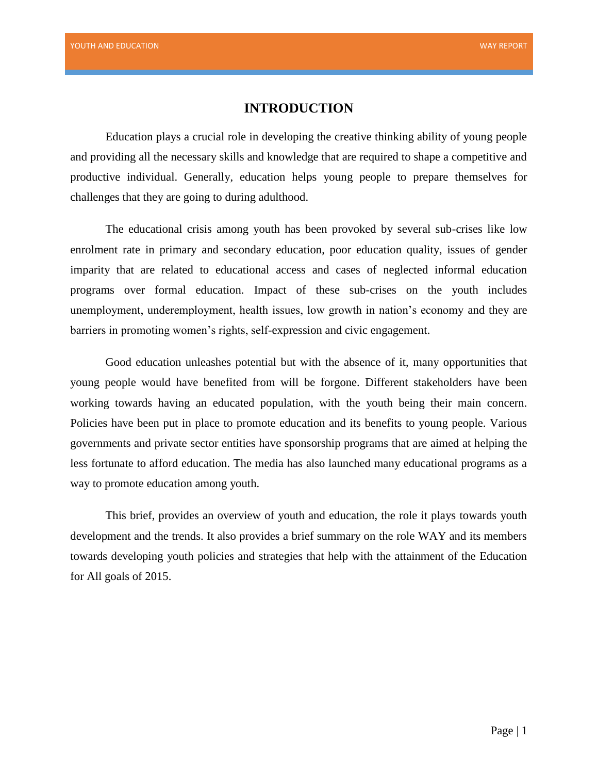# **INTRODUCTION**

Education plays a crucial role in developing the creative thinking ability of young people and providing all the necessary skills and knowledge that are required to shape a competitive and productive individual. Generally, education helps young people to prepare themselves for challenges that they are going to during adulthood.

The educational crisis among youth has been provoked by several sub-crises like low enrolment rate in primary and secondary education, poor education quality, issues of gender imparity that are related to educational access and cases of neglected informal education programs over formal education. Impact of these sub-crises on the youth includes unemployment, underemployment, health issues, low growth in nation's economy and they are barriers in promoting women's rights, self-expression and civic engagement.

Good education unleashes potential but with the absence of it, many opportunities that young people would have benefited from will be forgone. Different stakeholders have been working towards having an educated population, with the youth being their main concern. Policies have been put in place to promote education and its benefits to young people. Various governments and private sector entities have sponsorship programs that are aimed at helping the less fortunate to afford education. The media has also launched many educational programs as a way to promote education among youth.

This brief, provides an overview of youth and education, the role it plays towards youth development and the trends. It also provides a brief summary on the role WAY and its members towards developing youth policies and strategies that help with the attainment of the Education for All goals of 2015.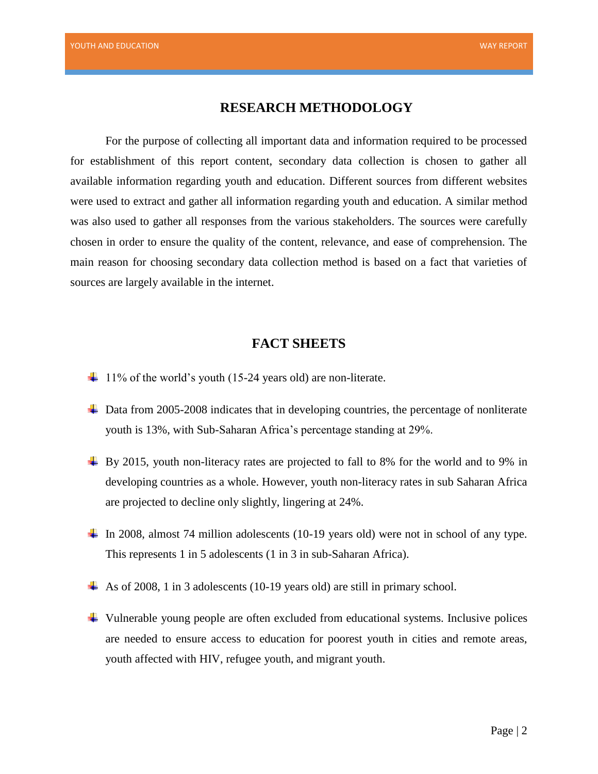#### **RESEARCH METHODOLOGY**

For the purpose of collecting all important data and information required to be processed for establishment of this report content, secondary data collection is chosen to gather all available information regarding youth and education. Different sources from different websites were used to extract and gather all information regarding youth and education. A similar method was also used to gather all responses from the various stakeholders. The sources were carefully chosen in order to ensure the quality of the content, relevance, and ease of comprehension. The main reason for choosing secondary data collection method is based on a fact that varieties of sources are largely available in the internet.

#### **FACT SHEETS**

- $\ddot{+}$  11% of the world's youth (15-24 years old) are non-literate.
- **↓** Data from 2005-2008 indicates that in developing countries, the percentage of nonliterate youth is 13%, with Sub-Saharan Africa's percentage standing at 29%.
- $\pm$  By 2015, youth non-literacy rates are projected to fall to 8% for the world and to 9% in developing countries as a whole. However, youth non-literacy rates in sub Saharan Africa are projected to decline only slightly, lingering at 24%.
- In 2008, almost 74 million adolescents (10-19 years old) were not in school of any type. This represents 1 in 5 adolescents (1 in 3 in sub-Saharan Africa).
- As of 2008, 1 in 3 adolescents (10-19 years old) are still in primary school.
- Vulnerable young people are often excluded from educational systems. Inclusive polices are needed to ensure access to education for poorest youth in cities and remote areas, youth affected with HIV, refugee youth, and migrant youth.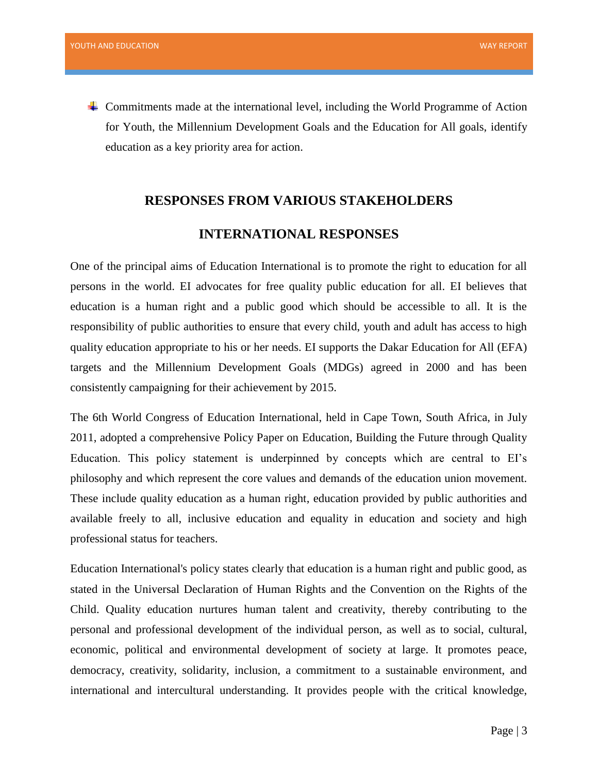Commitments made at the international level, including the World Programme of Action for Youth, the Millennium Development Goals and the Education for All goals, identify education as a key priority area for action.

# **RESPONSES FROM VARIOUS STAKEHOLDERS**

# **INTERNATIONAL RESPONSES**

One of the principal aims of Education International is to promote the right to education for all persons in the world. EI advocates for free quality public education for all. EI believes that education is a human right and a public good which should be accessible to all. It is the responsibility of public authorities to ensure that every child, youth and adult has access to high quality education appropriate to his or her needs. EI supports the Dakar Education for All (EFA) targets and the Millennium Development Goals (MDGs) agreed in 2000 and has been consistently campaigning for their achievement by 2015.

The 6th World Congress of Education International, held in Cape Town, South Africa, in July 2011, adopted a comprehensive Policy Paper on Education, Building the Future through Quality Education. This policy statement is underpinned by concepts which are central to EI's philosophy and which represent the core values and demands of the education union movement. These include quality education as a human right, education provided by public authorities and available freely to all, inclusive education and equality in education and society and high professional status for teachers.

Education International's policy states clearly that education is a human right and public good, as stated in the Universal Declaration of Human Rights and the Convention on the Rights of the Child. Quality education nurtures human talent and creativity, thereby contributing to the personal and professional development of the individual person, as well as to social, cultural, economic, political and environmental development of society at large. It promotes peace, democracy, creativity, solidarity, inclusion, a commitment to a sustainable environment, and international and intercultural understanding. It provides people with the critical knowledge,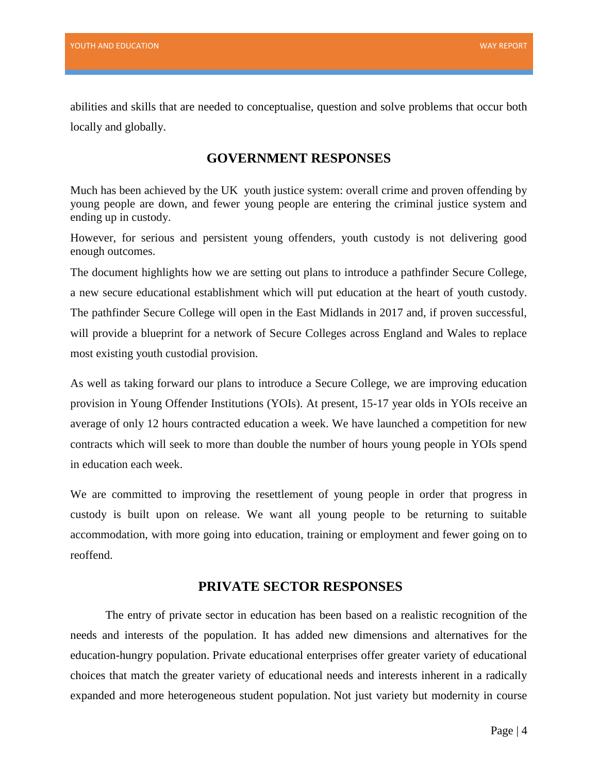abilities and skills that are needed to conceptualise, question and solve problems that occur both locally and globally.

# **GOVERNMENT RESPONSES**

Much has been achieved by the UK youth justice system: overall crime and proven offending by young people are down, and fewer young people are entering the criminal justice system and ending up in custody.

However, for serious and persistent young offenders, youth custody is not delivering good enough outcomes.

The document highlights how we are setting out plans to introduce a pathfinder Secure College, a new secure educational establishment which will put education at the heart of youth custody. The pathfinder Secure College will open in the East Midlands in 2017 and, if proven successful, will provide a blueprint for a network of Secure Colleges across England and Wales to replace most existing youth custodial provision.

As well as taking forward our plans to introduce a Secure College, we are improving education provision in Young Offender Institutions (YOIs). At present, 15-17 year olds in YOIs receive an average of only 12 hours contracted education a week. We have launched a competition for new contracts which will seek to more than double the number of hours young people in YOIs spend in education each week.

We are committed to improving the resettlement of young people in order that progress in custody is built upon on release. We want all young people to be returning to suitable accommodation, with more going into education, training or employment and fewer going on to reoffend.

#### **PRIVATE SECTOR RESPONSES**

The entry of private sector in education has been based on a realistic recognition of the needs and interests of the population. It has added new dimensions and alternatives for the education-hungry population. Private educational enterprises offer greater variety of educational choices that match the greater variety of educational needs and interests inherent in a radically expanded and more heterogeneous student population. Not just variety but modernity in course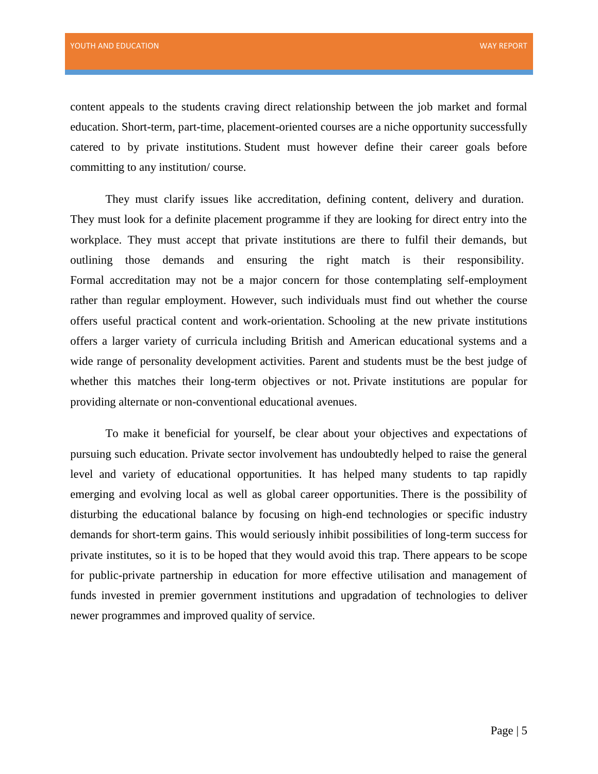content appeals to the students craving direct relationship between the job market and formal education. Short-term, part-time, placement-oriented courses are a niche opportunity successfully catered to by private institutions. Student must however define their career goals before committing to any institution/ course.

They must clarify issues like accreditation, defining content, delivery and duration. They must look for a definite placement programme if they are looking for direct entry into the workplace. They must accept that private institutions are there to fulfil their demands, but outlining those demands and ensuring the right match is their responsibility. Formal accreditation may not be a major concern for those contemplating self-employment rather than regular employment. However, such individuals must find out whether the course offers useful practical content and work-orientation. Schooling at the new private institutions offers a larger variety of curricula including British and American educational systems and a wide range of personality development activities. Parent and students must be the best judge of whether this matches their long-term objectives or not. Private institutions are popular for providing alternate or non-conventional educational avenues.

To make it beneficial for yourself, be clear about your objectives and expectations of pursuing such education. Private sector involvement has undoubtedly helped to raise the general level and variety of educational opportunities. It has helped many students to tap rapidly emerging and evolving local as well as global career opportunities. There is the possibility of disturbing the educational balance by focusing on high-end technologies or specific industry demands for short-term gains. This would seriously inhibit possibilities of long-term success for private institutes, so it is to be hoped that they would avoid this trap. There appears to be scope for public-private partnership in education for more effective utilisation and management of funds invested in premier government institutions and upgradation of technologies to deliver newer programmes and improved quality of service.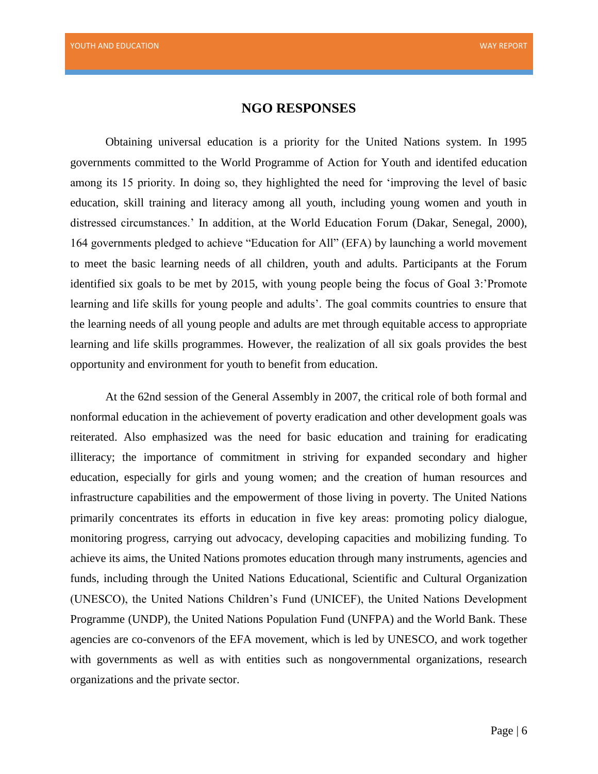#### **NGO RESPONSES**

Obtaining universal education is a priority for the United Nations system. In 1995 governments committed to the World Programme of Action for Youth and identifed education among its 15 priority. In doing so, they highlighted the need for 'improving the level of basic education, skill training and literacy among all youth, including young women and youth in distressed circumstances.' In addition, at the World Education Forum (Dakar, Senegal, 2000), 164 governments pledged to achieve "Education for All" (EFA) by launching a world movement to meet the basic learning needs of all children, youth and adults. Participants at the Forum identified six goals to be met by 2015, with young people being the focus of Goal 3:'Promote learning and life skills for young people and adults'. The goal commits countries to ensure that the learning needs of all young people and adults are met through equitable access to appropriate learning and life skills programmes. However, the realization of all six goals provides the best opportunity and environment for youth to benefit from education.

At the 62nd session of the General Assembly in 2007, the critical role of both formal and nonformal education in the achievement of poverty eradication and other development goals was reiterated. Also emphasized was the need for basic education and training for eradicating illiteracy; the importance of commitment in striving for expanded secondary and higher education, especially for girls and young women; and the creation of human resources and infrastructure capabilities and the empowerment of those living in poverty. The United Nations primarily concentrates its efforts in education in five key areas: promoting policy dialogue, monitoring progress, carrying out advocacy, developing capacities and mobilizing funding. To achieve its aims, the United Nations promotes education through many instruments, agencies and funds, including through the United Nations Educational, Scientific and Cultural Organization (UNESCO), the United Nations Children's Fund (UNICEF), the United Nations Development Programme (UNDP), the United Nations Population Fund (UNFPA) and the World Bank. These agencies are co-convenors of the EFA movement, which is led by UNESCO, and work together with governments as well as with entities such as nongovernmental organizations, research organizations and the private sector.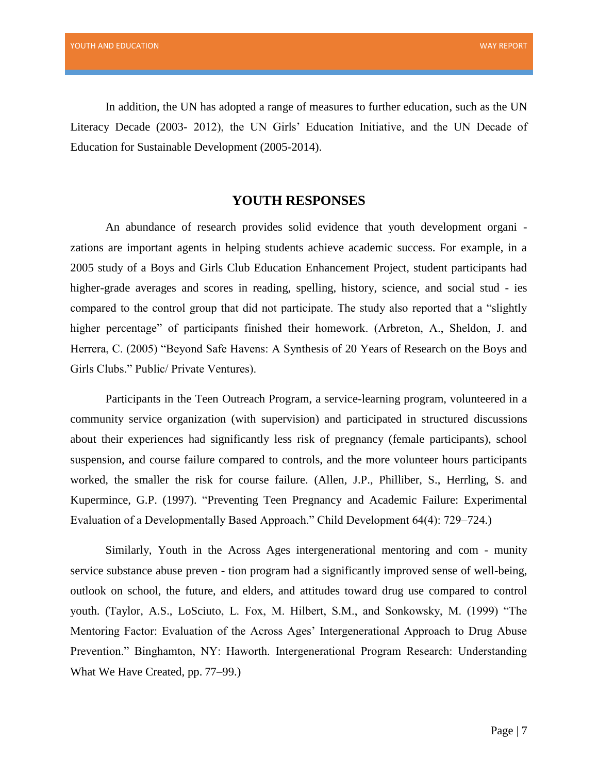In addition, the UN has adopted a range of measures to further education, such as the UN Literacy Decade (2003- 2012), the UN Girls' Education Initiative, and the UN Decade of Education for Sustainable Development (2005-2014).

#### **YOUTH RESPONSES**

An abundance of research provides solid evidence that youth development organi zations are important agents in helping students achieve academic success. For example, in a 2005 study of a Boys and Girls Club Education Enhancement Project, student participants had higher-grade averages and scores in reading, spelling, history, science, and social stud - ies compared to the control group that did not participate. The study also reported that a "slightly higher percentage" of participants finished their homework. (Arbreton, A., Sheldon, J. and Herrera, C. (2005) "Beyond Safe Havens: A Synthesis of 20 Years of Research on the Boys and Girls Clubs." Public/ Private Ventures).

Participants in the Teen Outreach Program, a service-learning program, volunteered in a community service organization (with supervision) and participated in structured discussions about their experiences had significantly less risk of pregnancy (female participants), school suspension, and course failure compared to controls, and the more volunteer hours participants worked, the smaller the risk for course failure. (Allen, J.P., Philliber, S., Herrling, S. and Kupermince, G.P. (1997). "Preventing Teen Pregnancy and Academic Failure: Experimental Evaluation of a Developmentally Based Approach." Child Development 64(4): 729–724.)

Similarly, Youth in the Across Ages intergenerational mentoring and com - munity service substance abuse preven - tion program had a significantly improved sense of well-being, outlook on school, the future, and elders, and attitudes toward drug use compared to control youth. (Taylor, A.S., LoSciuto, L. Fox, M. Hilbert, S.M., and Sonkowsky, M. (1999) "The Mentoring Factor: Evaluation of the Across Ages' Intergenerational Approach to Drug Abuse Prevention." Binghamton, NY: Haworth. Intergenerational Program Research: Understanding What We Have Created, pp. 77–99.)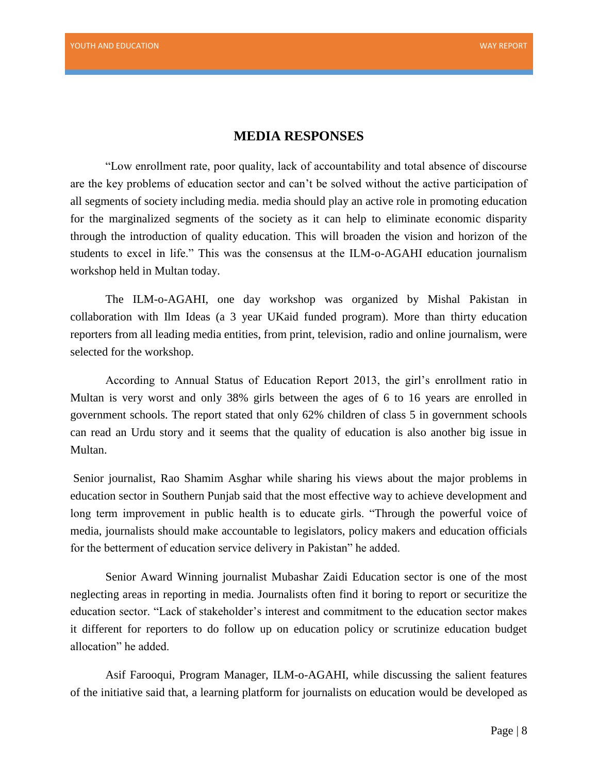#### **MEDIA RESPONSES**

"Low enrollment rate, poor quality, lack of accountability and total absence of discourse are the key problems of education sector and can't be solved without the active participation of all segments of society including media. media should play an active role in promoting education for the marginalized segments of the society as it can help to eliminate economic disparity through the introduction of quality education. This will broaden the vision and horizon of the students to excel in life." This was the consensus at the ILM-o-AGAHI education journalism workshop held in Multan today.

The ILM-o-AGAHI, one day workshop was organized by Mishal Pakistan in collaboration with Ilm Ideas (a 3 year UKaid funded program). More than thirty education reporters from all leading media entities, from print, television, radio and online journalism, were selected for the workshop.

According to Annual Status of Education Report 2013, the girl's enrollment ratio in Multan is very worst and only 38% girls between the ages of 6 to 16 years are enrolled in government schools. The report stated that only 62% children of class 5 in government schools can read an Urdu story and it seems that the quality of education is also another big issue in Multan.

Senior journalist, Rao Shamim Asghar while sharing his views about the major problems in education sector in Southern Punjab said that the most effective way to achieve development and long term improvement in public health is to educate girls. "Through the powerful voice of media, journalists should make accountable to legislators, policy makers and education officials for the betterment of education service delivery in Pakistan" he added.

Senior Award Winning journalist Mubashar Zaidi Education sector is one of the most neglecting areas in reporting in media. Journalists often find it boring to report or securitize the education sector. "Lack of stakeholder's interest and commitment to the education sector makes it different for reporters to do follow up on education policy or scrutinize education budget allocation" he added.

Asif Farooqui, Program Manager, ILM-o-AGAHI, while discussing the salient features of the initiative said that, a learning platform for journalists on education would be developed as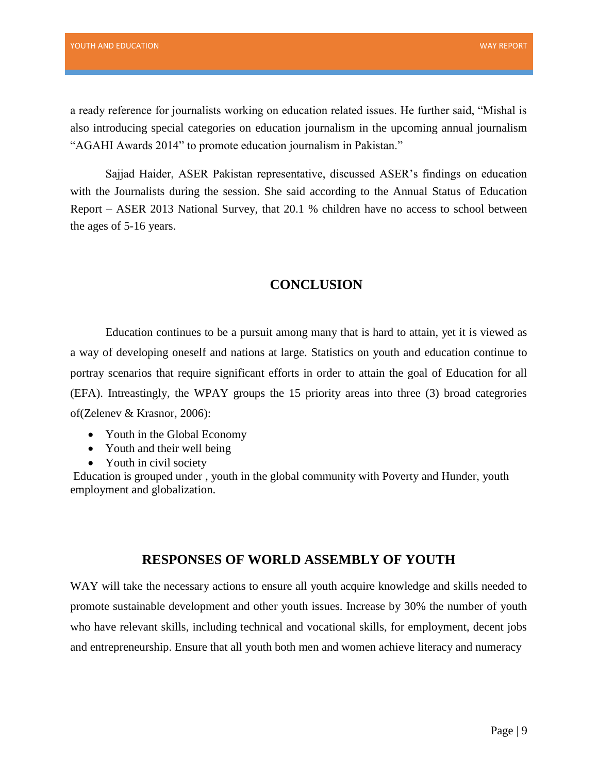a ready reference for journalists working on education related issues. He further said, "Mishal is also introducing special categories on education journalism in the upcoming annual journalism "AGAHI Awards 2014" to promote education journalism in Pakistan."

Sajjad Haider, ASER Pakistan representative, discussed ASER's findings on education with the Journalists during the session. She said according to the Annual Status of Education Report – ASER 2013 National Survey, that 20.1 % children have no access to school between the ages of 5-16 years.

# **CONCLUSION**

Education continues to be a pursuit among many that is hard to attain, yet it is viewed as a way of developing oneself and nations at large. Statistics on youth and education continue to portray scenarios that require significant efforts in order to attain the goal of Education for all (EFA). Intreastingly, the WPAY groups the 15 priority areas into three (3) broad categrories of[\(Zelenev & Krasnor, 2006\)](#page-9-0):

- Youth in the Global Economy
- Youth and their well being
- Youth in civil society

Education is grouped under , youth in the global community with Poverty and Hunder, youth employment and globalization.

# **RESPONSES OF WORLD ASSEMBLY OF YOUTH**

WAY will take the necessary actions to ensure all youth acquire knowledge and skills needed to promote sustainable development and other youth issues. Increase by 30% the number of youth who have relevant skills, including technical and vocational skills, for employment, decent jobs and entrepreneurship. Ensure that all youth both men and women achieve literacy and numeracy